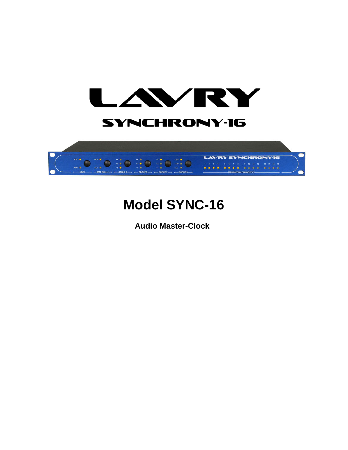



# **Model SYNC-16**

**Audio Master-Clock**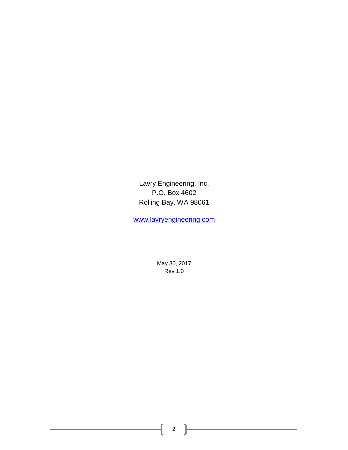Lavry Engineering, Inc. P.O. Box 4602 Rolling Bay, WA 98061

[www.lavryengineering.com](http://www.lavryengineering.com/)

May 30, 2017 Rev 1.0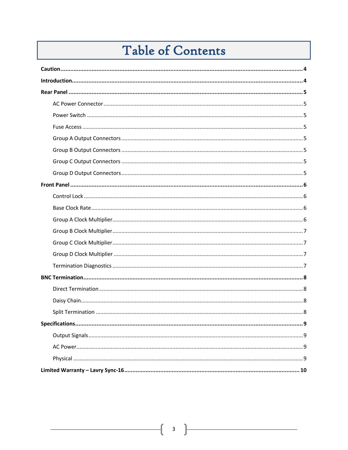# Table of Contents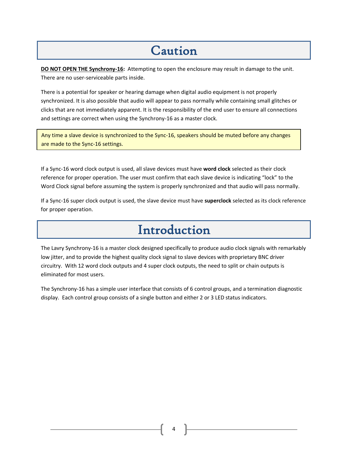### Caution

<span id="page-3-0"></span>**DO NOT OPEN THE Synchrony-16:** Attempting to open the enclosure may result in damage to the unit. There are no user-serviceable parts inside.

There is a potential for speaker or hearing damage when digital audio equipment is not properly synchronized. It is also possible that audio will appear to pass normally while containing small glitches or clicks that are not immediately apparent. It is the responsibility of the end user to ensure all connections and settings are correct when using the Synchrony-16 as a master clock.

Any time a slave device is synchronized to the Sync-16, speakers should be muted before any changes are made to the Sync-16 settings.

If a Sync-16 word clock output is used, all slave devices must have **word clock** selected as their clock reference for proper operation. The user must confirm that each slave device is indicating "lock" to the Word Clock signal before assuming the system is properly synchronized and that audio will pass normally.

<span id="page-3-1"></span>If a Sync-16 super clock output is used, the slave device must have **superclock** selected as its clock reference for proper operation.

### Introduction

The Lavry Synchrony-16 is a master clock designed specifically to produce audio clock signals with remarkably low jitter, and to provide the highest quality clock signal to slave devices with proprietary BNC driver circuitry. With 12 word clock outputs and 4 super clock outputs, the need to split or chain outputs is eliminated for most users.

The Synchrony-16 has a simple user interface that consists of 6 control groups, and a termination diagnostic display. Each control group consists of a single button and either 2 or 3 LED status indicators.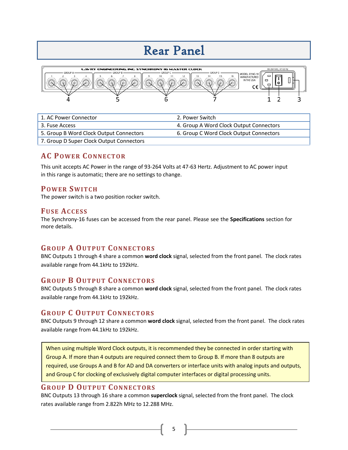### Rear Panel



| 1. AC Power Connector                    | 2. Power Switch                         |
|------------------------------------------|-----------------------------------------|
| 3. Fuse Access                           | 4. Group A Word Clock Output Connectors |
| 5. Group B Word Clock Output Connectors  | 6. Group C Word Clock Output Connectors |
| 7. Group D Super Clock Output Connectors |                                         |

#### <span id="page-4-0"></span>**AC POWER CONNECTOR**

This unit accepts AC Power in the range of 93-264 Volts at 47-63 Hertz. Adjustment to AC power input in this range is automatic; there are no settings to change.

#### <span id="page-4-1"></span>**POWER SWITCH**

<span id="page-4-2"></span>The power switch is a two position rocker switch.

#### **FUSE ACCESS**

The Synchrony-16 fuses can be accessed from the rear panel. Please see the **Specifications** section for more details.

#### <span id="page-4-3"></span>**GROUP A OUTPUT CONNECTORS**

BNC Outputs 1 through 4 share a common **word clock** signal, selected from the front panel. The clock rates available range from 44.1kHz to 192kHz.

#### <span id="page-4-4"></span>**GROUP B OUTPUT CONNECTORS**

BNC Outputs 5 through 8 share a common **word clock** signal, selected from the front panel. The clock rates available range from 44.1kHz to 192kHz.

#### <span id="page-4-5"></span>**GROUP C OUTPUT CONNECTORS**

BNC Outputs 9 through 12 share a common **word clock** signal, selected from the front panel. The clock rates available range from 44.1kHz to 192kHz.

When using multiple Word Clock outputs, it is recommended they be connected in order starting with Group A. If more than 4 outputs are required connect them to Group B. If more than 8 outputs are required, use Groups A and B for AD and DA converters or interface units with analog inputs and outputs, and Group C for clocking of exclusively digital computer interfaces or digital processing units.

#### <span id="page-4-6"></span>**GROUP D OUTPUT CONNECTORS**

BNC Outputs 13 through 16 share a common **superclock** signal, selected from the front panel. The clock rates available range from 2.822h MHz to 12.288 MHz.

5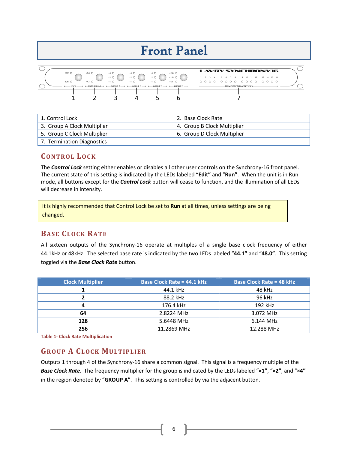### Front Panel



| 1. Control Lock             | 2. Base Clock Rate          |
|-----------------------------|-----------------------------|
| 3. Group A Clock Multiplier | 4. Group B Clock Multiplier |
| 5. Group C Clock Multiplier | 6. Group D Clock Multiplier |
| 7. Termination Diagnostics  |                             |

#### <span id="page-5-0"></span>**CONTROL LOCK**

The *Control Lock* setting either enables or disables all other user controls on the Synchrony-16 front panel. The current state of this setting is indicated by the LEDs labeled "**Edit"** and "**Run"**. When the unit is in Run mode, all buttons except for the *Control Lock* button will cease to function, and the illumination of all LEDs will decrease in intensity.

It is highly recommended that Control Lock be set to **Run** at all times, unless settings are being changed.

#### <span id="page-5-1"></span>**BASE CLOCK RATE**

All sixteen outputs of the Synchrony-16 operate at multiples of a single base clock frequency of either 44.1kHz or 48kHz. The selected base rate is indicated by the two LEDs labeled "**44.1"** and "**48.0"**. This setting toggled via the *Base Clock Rate* button.

| <b>Clock Multiplier</b> | <b>Base Clock Rate = 44.1 kHz</b> | <b>Base Clock Rate = 48 kHz</b> |
|-------------------------|-----------------------------------|---------------------------------|
|                         | 44.1 kHz                          | 48 kHz                          |
| 7                       | 88.2 kHz                          | 96 kHz                          |
| 4                       | 176.4 kHz                         | 192 kHz                         |
| 64                      | 2.8224 MHz                        | 3.072 MHz                       |
| 128                     | 5.6448 MHz                        | 6.144 MHz                       |
| 256                     | 11.2869 MHz                       | 12.288 MHz                      |

**Table 1- Clock Rate Multiplication**

#### <span id="page-5-2"></span>**GROUP A CLOCK MULTIPLIER**

Outputs 1 through 4 of the Synchrony-16 share a common signal. This signal is a frequency multiple of the *Base Clock Rate*. The frequency multiplier for the group is indicated by the LEDs labeled "**×1"**, "**×2"**, and "**×4"** in the region denoted by "**GROUP A"**. This setting is controlled by via the adjacent button.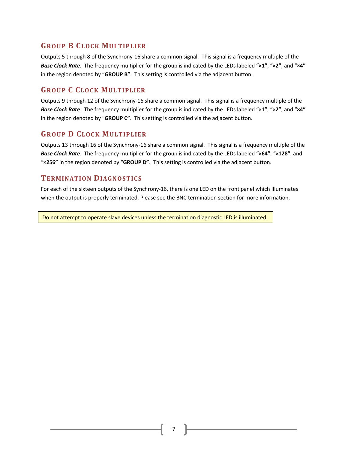#### <span id="page-6-0"></span>**GROUP B CLOCK MULTIPLIER**

Outputs 5 through 8 of the Synchrony-16 share a common signal. This signal is a frequency multiple of the *Base Clock Rate*. The frequency multiplier for the group is indicated by the LEDs labeled "**×1"**, "**×2"**, and "**×4"** in the region denoted by "**GROUP B"**. This setting is controlled via the adjacent button.

#### <span id="page-6-1"></span>**GROUP C CLOCK MULTIPLIER**

Outputs 9 through 12 of the Synchrony-16 share a common signal. This signal is a frequency multiple of the *Base Clock Rate*. The frequency multiplier for the group is indicated by the LEDs labeled "**×1"**, "**×2"**, and "**×4"** in the region denoted by "**GROUP C"**. This setting is controlled via the adjacent button.

#### <span id="page-6-2"></span>**GROUP D CLOCK MULTIPLIER**

Outputs 13 through 16 of the Synchrony-16 share a common signal. This signal is a frequency multiple of the *Base Clock Rate*. The frequency multiplier for the group is indicated by the LEDs labeled "**×64"**, "**×128"**, and "**×256"** in the region denoted by "**GROUP D"**. This setting is controlled via the adjacent button.

#### <span id="page-6-3"></span>**TERMINATION DIAGNOSTICS**

For each of the sixteen outputs of the Synchrony-16, there is one LED on the front panel which Illuminates when the output is properly terminated. Please see the BNC termination section for more information.

Do not attempt to operate slave devices unless the termination diagnostic LED is illuminated.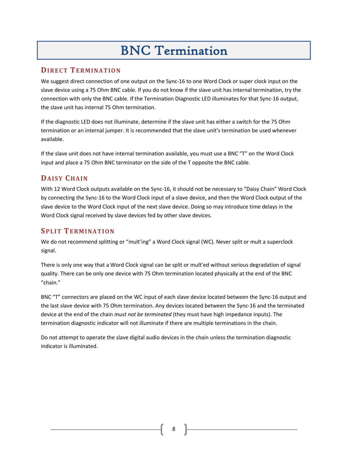## BNC Termination

#### <span id="page-7-1"></span><span id="page-7-0"></span>**DIRECT TERMINATION**

We suggest direct connection of one output on the Sync-16 to one Word Clock or super clock input on the slave device using a 75 Ohm BNC cable. If you do not know if the slave unit has internal termination, try the connection with only the BNC cable. If the Termination Diagnostic LED illuminates for that Sync-16 output, the slave unit has internal 75 Ohm termination.

If the diagnostic LED does not illuminate, determine if the slave unit has either a switch for the 75 Ohm termination or an internal jumper. It is recommended that the slave unit's termination be used whenever available.

If the slave unit does not have internal termination available, you must use a BNC "T" on the Word Clock input and place a 75 Ohm BNC terminator on the side of the T opposite the BNC cable.

#### <span id="page-7-2"></span>**DAISY CHAIN**

With 12 Word Clock outputs available on the Sync-16, it should not be necessary to "Daisy Chain" Word Clock by connecting the Sync-16 to the Word Clock input of a slave device, and then the Word Clock output of the slave device to the Word Clock input of the next slave device. Doing so may introduce time delays in the Word Clock signal received by slave devices fed by other slave devices.

### <span id="page-7-3"></span>**SPLIT TERMINATION**

We do not recommend splitting or "mult'ing" a Word Clock signal (WC). Never split or mult a superclock signal.

There is only one way that a Word Clock signal can be split or mult'ed without serious degradation of signal quality. There can be only one device with 75 Ohm termination located physically at the end of the BNC "chain."

BNC "T" connectors are placed on the WC input of each slave device located between the Sync-16 output and the last slave device with 75 Ohm termination. Any devices located between the Sync-16 and the terminated device at the end of the chain *must not be terminated* (they must have high impedance inputs). The termination diagnostic indicator will not illuminate if there are multiple terminations in the chain.

Do not attempt to operate the slave digital audio devices in the chain unless the termination diagnostic indicator is illuminated.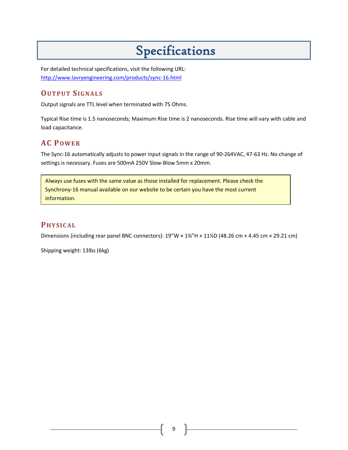# <span id="page-8-0"></span>Specifications

For detailed technical specifications, visit the following URL[:](http://www.lavryengineering.com/products/sync-16.html)  <http://www.lavryengineering.com/products/sync-16.html>

#### <span id="page-8-1"></span>**OUTPUT SIGNALS**

Output signals are TTL level when terminated with 75 Ohms.

Typical Rise time is 1.5 nanoseconds; Maximum Rise time is 2 nanoseconds. Rise time will vary with cable and load capacitance.

#### <span id="page-8-2"></span>**AC POWER**

The Sync-16 automatically adjusts to power input signals in the range of 90-264VAC, 47-63 Hz. No change of settings is necessary. Fuses are 500mA 250V Slow-Blow 5mm x 20mm.

Always use fuses with the same value as those installed for replacement. Please check the Synchrony-16 manual available on our website to be certain you have the most current information.

#### <span id="page-8-3"></span>**PHYSICAL**

Dimensions (including rear panel BNC connectors): 19"W × 1¾"H × 11½D (48.26 cm × 4.45 cm × 29.21 cm)

Shipping weight: 13lbs (6kg)